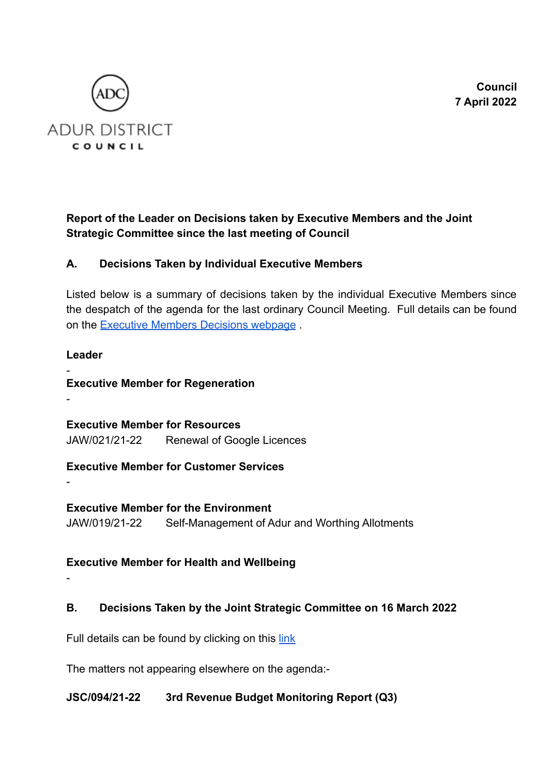**Council 7 April 2022**



# **Report of the Leader on Decisions taken by Executive Members and the Joint Strategic Committee since the last meeting of Council**

# **A. Decisions Taken by Individual Executive Members**

Listed below is a summary of decisions taken by the individual Executive Members since the despatch of the agenda for the last ordinary Council Meeting. Full details can be found on the [Executive Members Decisions webpage](https://democracy.adur-worthing.gov.uk/mgDelegatedDecisions.aspx?bcr=1&DM=3&DS=2&K=0&DR=&V=0&META=mgdelegateddecisions) [.](http://www.adur-worthing.gov.uk/committee/agendas-minutes.htm)

### **Leader**

- **Executive Member for Regeneration**

**Executive Member for Resources** JAW/021/21-22 Renewal of Google Licences

**Executive Member for Customer Services**

-

-

**Executive Member for the Environment** JAW/019/21-22 Self-Management of Adur and Worthing Allotments

# **Executive Member for Health and Wellbeing**

-

# **B. Decisions Taken by the Joint Strategic Committee on 16 March 2022**

Full details can be found by clicking on this [link](https://democracy.adur-worthing.gov.uk/ieListDocuments.aspx?CId=159&MId=1697)

The matters not appearing elsewhere on the agenda:-

## **JSC/094/21-22 3rd Revenue Budget Monitoring Report (Q3)**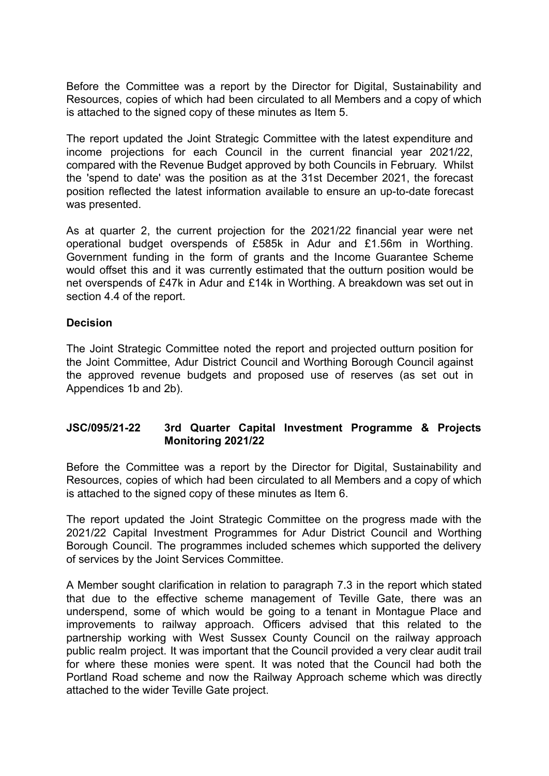Before the Committee was a report by the Director for Digital, Sustainability and Resources, copies of which had been circulated to all Members and a copy of which is attached to the signed copy of these minutes as Item 5.

The report updated the Joint Strategic Committee with the latest expenditure and income projections for each Council in the current financial year 2021/22, compared with the Revenue Budget approved by both Councils in February. Whilst the 'spend to date' was the position as at the 31st December 2021, the forecast position reflected the latest information available to ensure an up-to-date forecast was presented.

As at quarter 2, the current projection for the 2021/22 financial year were net operational budget overspends of £585k in Adur and £1.56m in Worthing. Government funding in the form of grants and the Income Guarantee Scheme would offset this and it was currently estimated that the outturn position would be net overspends of £47k in Adur and £14k in Worthing. A breakdown was set out in section 4.4 of the report.

#### **Decision**

The Joint Strategic Committee noted the report and projected outturn position for the Joint Committee, Adur District Council and Worthing Borough Council against the approved revenue budgets and proposed use of reserves (as set out in Appendices 1b and 2b).

### **JSC/095/21-22 3rd Quarter Capital Investment Programme & Projects Monitoring 2021/22**

Before the Committee was a report by the Director for Digital, Sustainability and Resources, copies of which had been circulated to all Members and a copy of which is attached to the signed copy of these minutes as Item 6.

The report updated the Joint Strategic Committee on the progress made with the 2021/22 Capital Investment Programmes for Adur District Council and Worthing Borough Council. The programmes included schemes which supported the delivery of services by the Joint Services Committee.

A Member sought clarification in relation to paragraph 7.3 in the report which stated that due to the effective scheme management of Teville Gate, there was an underspend, some of which would be going to a tenant in Montague Place and improvements to railway approach. Officers advised that this related to the partnership working with West Sussex County Council on the railway approach public realm project. It was important that the Council provided a very clear audit trail for where these monies were spent. It was noted that the Council had both the Portland Road scheme and now the Railway Approach scheme which was directly attached to the wider Teville Gate project.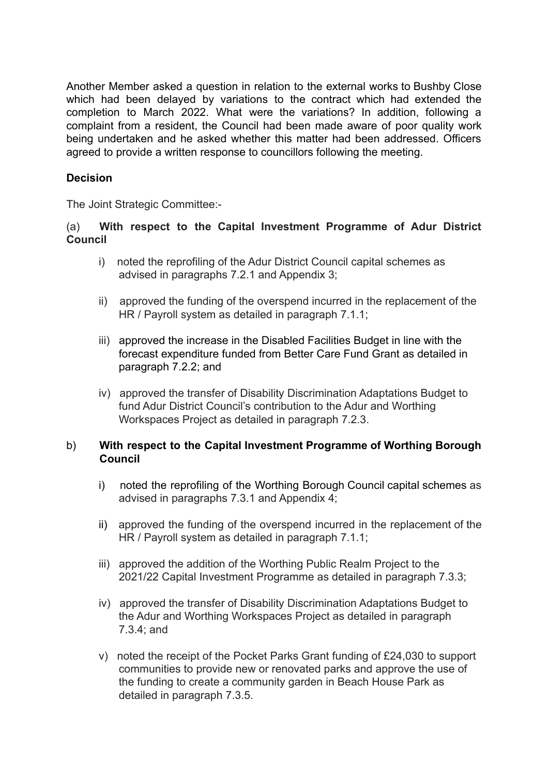Another Member asked a question in relation to the external works to Bushby Close which had been delayed by variations to the contract which had extended the completion to March 2022. What were the variations? In addition, following a complaint from a resident, the Council had been made aware of poor quality work being undertaken and he asked whether this matter had been addressed. Officers agreed to provide a written response to councillors following the meeting.

## **Decision**

The Joint Strategic Committee:-

#### (a) **With respect to the Capital Investment Programme of Adur District Council**

- i) noted the reprofiling of the Adur District Council capital schemes as advised in paragraphs 7.2.1 and Appendix 3;
- ii) approved the funding of the overspend incurred in the replacement of the HR / Payroll system as detailed in paragraph 7.1.1;
- iii) approved the increase in the Disabled Facilities Budget in line with the forecast expenditure funded from Better Care Fund Grant as detailed in paragraph 7.2.2; and
- iv) approved the transfer of Disability Discrimination Adaptations Budget to fund Adur District Council's contribution to the Adur and Worthing Workspaces Project as detailed in paragraph 7.2.3.

### b) **With respect to the Capital Investment Programme of Worthing Borough Council**

- i) noted the reprofiling of the Worthing Borough Council capital schemes as advised in paragraphs 7.3.1 and Appendix 4;
- ii) approved the funding of the overspend incurred in the replacement of the HR / Payroll system as detailed in paragraph 7.1.1;
- iii) approved the addition of the Worthing Public Realm Project to the 2021/22 Capital Investment Programme as detailed in paragraph 7.3.3;
- iv) approved the transfer of Disability Discrimination Adaptations Budget to the Adur and Worthing Workspaces Project as detailed in paragraph 7.3.4; and
- v) noted the receipt of the Pocket Parks Grant funding of £24,030 to support communities to provide new or renovated parks and approve the use of the funding to create a community garden in Beach House Park as detailed in paragraph 7.3.5.